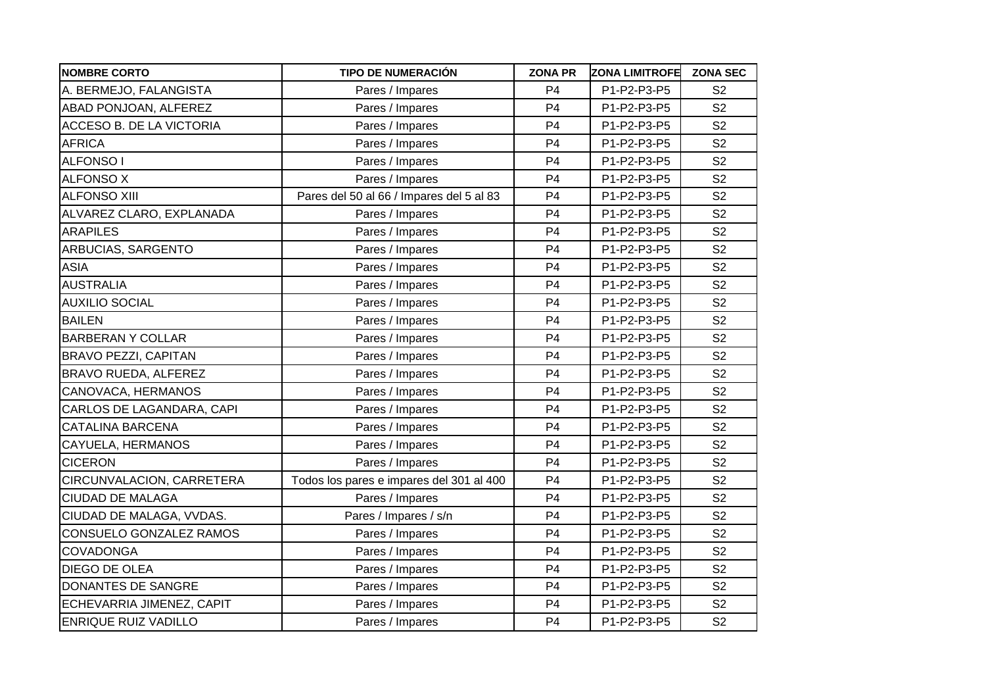| <b>NOMBRE CORTO</b>         | <b>TIPO DE NUMERACIÓN</b>                | <b>ZONA PR</b> | <b>ZONA LIMITROFE</b> | <b>ZONA SEC</b> |
|-----------------------------|------------------------------------------|----------------|-----------------------|-----------------|
| A. BERMEJO, FALANGISTA      | Pares / Impares                          | P <sub>4</sub> | P1-P2-P3-P5           | S <sub>2</sub>  |
| ABAD PONJOAN, ALFEREZ       | Pares / Impares                          | P <sub>4</sub> | P1-P2-P3-P5           | S <sub>2</sub>  |
| ACCESO B. DE LA VICTORIA    | Pares / Impares                          | P <sub>4</sub> | P1-P2-P3-P5           | S <sub>2</sub>  |
| <b>AFRICA</b>               | Pares / Impares                          | P <sub>4</sub> | P1-P2-P3-P5           | S <sub>2</sub>  |
| <b>ALFONSO I</b>            | Pares / Impares                          | P <sub>4</sub> | P1-P2-P3-P5           | S <sub>2</sub>  |
| <b>ALFONSO X</b>            | Pares / Impares                          | P <sub>4</sub> | P1-P2-P3-P5           | S <sub>2</sub>  |
| <b>ALFONSO XIII</b>         | Pares del 50 al 66 / Impares del 5 al 83 | P <sub>4</sub> | P1-P2-P3-P5           | S <sub>2</sub>  |
| ALVAREZ CLARO, EXPLANADA    | Pares / Impares                          | P <sub>4</sub> | P1-P2-P3-P5           | S <sub>2</sub>  |
| <b>ARAPILES</b>             | Pares / Impares                          | P <sub>4</sub> | P1-P2-P3-P5           | S <sub>2</sub>  |
| ARBUCIAS, SARGENTO          | Pares / Impares                          | P <sub>4</sub> | P1-P2-P3-P5           | S <sub>2</sub>  |
| <b>ASIA</b>                 | Pares / Impares                          | P <sub>4</sub> | P1-P2-P3-P5           | S <sub>2</sub>  |
| <b>AUSTRALIA</b>            | Pares / Impares                          | P <sub>4</sub> | P1-P2-P3-P5           | S <sub>2</sub>  |
| <b>AUXILIO SOCIAL</b>       | Pares / Impares                          | P <sub>4</sub> | P1-P2-P3-P5           | S <sub>2</sub>  |
| <b>BAILEN</b>               | Pares / Impares                          | P <sub>4</sub> | P1-P2-P3-P5           | S <sub>2</sub>  |
| <b>BARBERAN Y COLLAR</b>    | Pares / Impares                          | P <sub>4</sub> | P1-P2-P3-P5           | S <sub>2</sub>  |
| <b>BRAVO PEZZI, CAPITAN</b> | Pares / Impares                          | P <sub>4</sub> | P1-P2-P3-P5           | S <sub>2</sub>  |
| BRAVO RUEDA, ALFEREZ        | Pares / Impares                          | P <sub>4</sub> | P1-P2-P3-P5           | S <sub>2</sub>  |
| CANOVACA, HERMANOS          | Pares / Impares                          | P <sub>4</sub> | P1-P2-P3-P5           | S <sub>2</sub>  |
| CARLOS DE LAGANDARA, CAPI   | Pares / Impares                          | P <sub>4</sub> | P1-P2-P3-P5           | S <sub>2</sub>  |
| <b>CATALINA BARCENA</b>     | Pares / Impares                          | P <sub>4</sub> | P1-P2-P3-P5           | S <sub>2</sub>  |
| CAYUELA, HERMANOS           | Pares / Impares                          | P <sub>4</sub> | P1-P2-P3-P5           | S <sub>2</sub>  |
| <b>CICERON</b>              | Pares / Impares                          | P <sub>4</sub> | P1-P2-P3-P5           | S <sub>2</sub>  |
| CIRCUNVALACION, CARRETERA   | Todos los pares e impares del 301 al 400 | P <sub>4</sub> | P1-P2-P3-P5           | S <sub>2</sub>  |
| CIUDAD DE MALAGA            | Pares / Impares                          | P <sub>4</sub> | P1-P2-P3-P5           | S <sub>2</sub>  |
| CIUDAD DE MALAGA, VVDAS.    | Pares / Impares / s/n                    | P <sub>4</sub> | P1-P2-P3-P5           | S <sub>2</sub>  |
| CONSUELO GONZALEZ RAMOS     | Pares / Impares                          | P <sub>4</sub> | P1-P2-P3-P5           | S <sub>2</sub>  |
| COVADONGA                   | Pares / Impares                          | P <sub>4</sub> | P1-P2-P3-P5           | S <sub>2</sub>  |
| DIEGO DE OLEA               | Pares / Impares                          | P <sub>4</sub> | P1-P2-P3-P5           | S <sub>2</sub>  |
| DONANTES DE SANGRE          | Pares / Impares                          | P <sub>4</sub> | P1-P2-P3-P5           | S <sub>2</sub>  |
| ECHEVARRIA JIMENEZ, CAPIT   | Pares / Impares                          | P <sub>4</sub> | P1-P2-P3-P5           | S <sub>2</sub>  |
| <b>ENRIQUE RUIZ VADILLO</b> | Pares / Impares                          | P <sub>4</sub> | P1-P2-P3-P5           | S <sub>2</sub>  |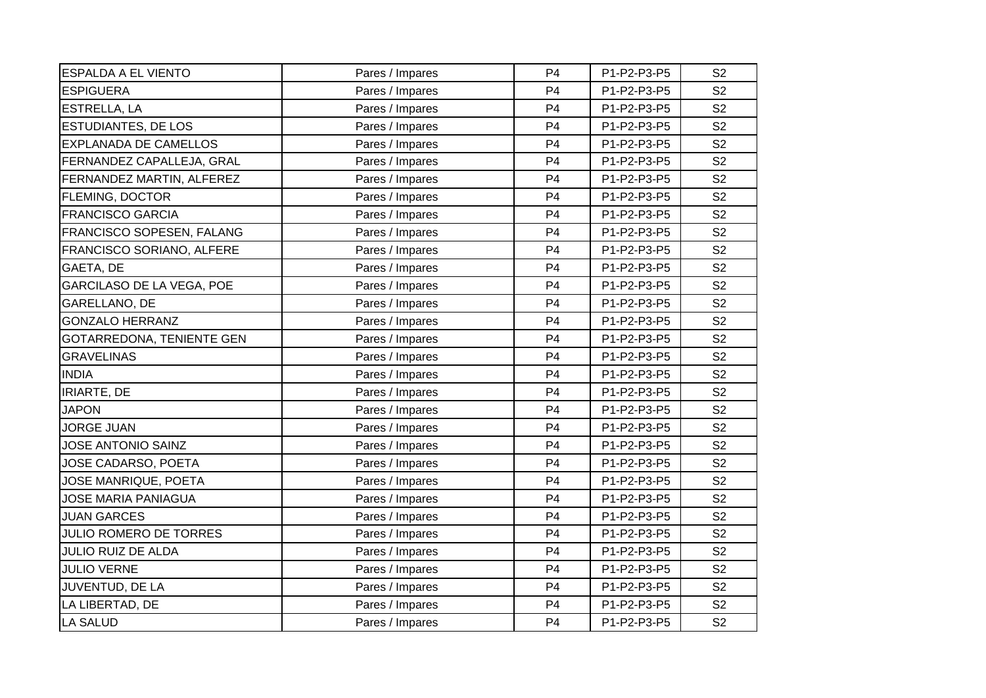| <b>ESPALDA A EL VIENTO</b>    | Pares / Impares | P <sub>4</sub> | P1-P2-P3-P5 | S <sub>2</sub> |
|-------------------------------|-----------------|----------------|-------------|----------------|
| <b>ESPIGUERA</b>              | Pares / Impares | P <sub>4</sub> | P1-P2-P3-P5 | S <sub>2</sub> |
| ESTRELLA, LA                  | Pares / Impares | P <sub>4</sub> | P1-P2-P3-P5 | S <sub>2</sub> |
| <b>ESTUDIANTES, DE LOS</b>    | Pares / Impares | P <sub>4</sub> | P1-P2-P3-P5 | S <sub>2</sub> |
| <b>EXPLANADA DE CAMELLOS</b>  | Pares / Impares | P <sub>4</sub> | P1-P2-P3-P5 | S <sub>2</sub> |
| FERNANDEZ CAPALLEJA, GRAL     | Pares / Impares | P <sub>4</sub> | P1-P2-P3-P5 | S <sub>2</sub> |
| FERNANDEZ MARTIN, ALFEREZ     | Pares / Impares | P <sub>4</sub> | P1-P2-P3-P5 | S <sub>2</sub> |
| <b>FLEMING, DOCTOR</b>        | Pares / Impares | P <sub>4</sub> | P1-P2-P3-P5 | S <sub>2</sub> |
| <b>FRANCISCO GARCIA</b>       | Pares / Impares | P <sub>4</sub> | P1-P2-P3-P5 | S <sub>2</sub> |
| FRANCISCO SOPESEN, FALANG     | Pares / Impares | P <sub>4</sub> | P1-P2-P3-P5 | S <sub>2</sub> |
| FRANCISCO SORIANO, ALFERE     | Pares / Impares | P <sub>4</sub> | P1-P2-P3-P5 | S <sub>2</sub> |
| GAETA, DE                     | Pares / Impares | P <sub>4</sub> | P1-P2-P3-P5 | S <sub>2</sub> |
| GARCILASO DE LA VEGA, POE     | Pares / Impares | P <sub>4</sub> | P1-P2-P3-P5 | S <sub>2</sub> |
| GARELLANO, DE                 | Pares / Impares | P <sub>4</sub> | P1-P2-P3-P5 | S <sub>2</sub> |
| <b>GONZALO HERRANZ</b>        | Pares / Impares | P <sub>4</sub> | P1-P2-P3-P5 | S <sub>2</sub> |
| GOTARREDONA, TENIENTE GEN     | Pares / Impares | P <sub>4</sub> | P1-P2-P3-P5 | S <sub>2</sub> |
| <b>GRAVELINAS</b>             | Pares / Impares | P <sub>4</sub> | P1-P2-P3-P5 | S <sub>2</sub> |
| <b>INDIA</b>                  | Pares / Impares | P <sub>4</sub> | P1-P2-P3-P5 | S <sub>2</sub> |
| <b>IRIARTE, DE</b>            | Pares / Impares | P <sub>4</sub> | P1-P2-P3-P5 | S <sub>2</sub> |
| <b>JAPON</b>                  | Pares / Impares | P <sub>4</sub> | P1-P2-P3-P5 | S <sub>2</sub> |
| <b>JORGE JUAN</b>             | Pares / Impares | P <sub>4</sub> | P1-P2-P3-P5 | S <sub>2</sub> |
| JOSE ANTONIO SAINZ            | Pares / Impares | P <sub>4</sub> | P1-P2-P3-P5 | S <sub>2</sub> |
| JOSE CADARSO, POETA           | Pares / Impares | P <sub>4</sub> | P1-P2-P3-P5 | S <sub>2</sub> |
| JOSE MANRIQUE, POETA          | Pares / Impares | P <sub>4</sub> | P1-P2-P3-P5 | S <sub>2</sub> |
| <b>JOSE MARIA PANIAGUA</b>    | Pares / Impares | P <sub>4</sub> | P1-P2-P3-P5 | S <sub>2</sub> |
| <b>JUAN GARCES</b>            | Pares / Impares | P <sub>4</sub> | P1-P2-P3-P5 | S <sub>2</sub> |
| <b>JULIO ROMERO DE TORRES</b> | Pares / Impares | P <sub>4</sub> | P1-P2-P3-P5 | S <sub>2</sub> |
| <b>JULIO RUIZ DE ALDA</b>     | Pares / Impares | P <sub>4</sub> | P1-P2-P3-P5 | S <sub>2</sub> |
| <b>JULIO VERNE</b>            | Pares / Impares | P <sub>4</sub> | P1-P2-P3-P5 | S <sub>2</sub> |
| JUVENTUD, DE LA               | Pares / Impares | P <sub>4</sub> | P1-P2-P3-P5 | S <sub>2</sub> |
| LA LIBERTAD, DE               | Pares / Impares | P <sub>4</sub> | P1-P2-P3-P5 | S <sub>2</sub> |
| <b>LA SALUD</b>               | Pares / Impares | P <sub>4</sub> | P1-P2-P3-P5 | S <sub>2</sub> |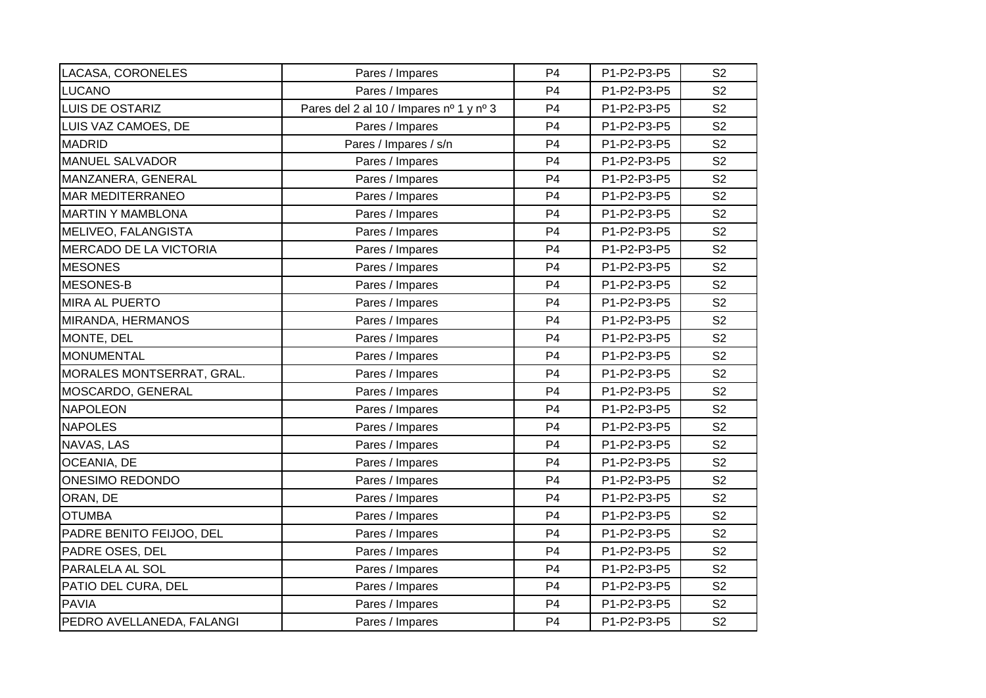| LACASA, CORONELES             | Pares / Impares                         | P <sub>4</sub> | P1-P2-P3-P5 | S <sub>2</sub> |
|-------------------------------|-----------------------------------------|----------------|-------------|----------------|
| <b>LUCANO</b>                 | Pares / Impares                         | P <sub>4</sub> | P1-P2-P3-P5 | S <sub>2</sub> |
| LUIS DE OSTARIZ               | Pares del 2 al 10 / Impares nº 1 y nº 3 | P <sub>4</sub> | P1-P2-P3-P5 | S <sub>2</sub> |
| LUIS VAZ CAMOES, DE           | Pares / Impares                         | P <sub>4</sub> | P1-P2-P3-P5 | S <sub>2</sub> |
| <b>MADRID</b>                 | Pares / Impares / s/n                   | P <sub>4</sub> | P1-P2-P3-P5 | S <sub>2</sub> |
| <b>MANUEL SALVADOR</b>        | Pares / Impares                         | P <sub>4</sub> | P1-P2-P3-P5 | S <sub>2</sub> |
| MANZANERA, GENERAL            | Pares / Impares                         | P <sub>4</sub> | P1-P2-P3-P5 | S <sub>2</sub> |
| <b>MAR MEDITERRANEO</b>       | Pares / Impares                         | P <sub>4</sub> | P1-P2-P3-P5 | S <sub>2</sub> |
| <b>MARTIN Y MAMBLONA</b>      | Pares / Impares                         | P <sub>4</sub> | P1-P2-P3-P5 | S <sub>2</sub> |
| MELIVEO, FALANGISTA           | Pares / Impares                         | P <sub>4</sub> | P1-P2-P3-P5 | S <sub>2</sub> |
| <b>MERCADO DE LA VICTORIA</b> | Pares / Impares                         | P <sub>4</sub> | P1-P2-P3-P5 | S <sub>2</sub> |
| <b>MESONES</b>                | Pares / Impares                         | P <sub>4</sub> | P1-P2-P3-P5 | S <sub>2</sub> |
| <b>MESONES-B</b>              | Pares / Impares                         | P <sub>4</sub> | P1-P2-P3-P5 | S <sub>2</sub> |
| <b>MIRA AL PUERTO</b>         | Pares / Impares                         | P <sub>4</sub> | P1-P2-P3-P5 | S <sub>2</sub> |
| MIRANDA, HERMANOS             | Pares / Impares                         | P <sub>4</sub> | P1-P2-P3-P5 | S <sub>2</sub> |
| MONTE, DEL                    | Pares / Impares                         | P <sub>4</sub> | P1-P2-P3-P5 | S <sub>2</sub> |
| <b>MONUMENTAL</b>             | Pares / Impares                         | P <sub>4</sub> | P1-P2-P3-P5 | S <sub>2</sub> |
| MORALES MONTSERRAT, GRAL.     | Pares / Impares                         | P <sub>4</sub> | P1-P2-P3-P5 | S <sub>2</sub> |
| MOSCARDO, GENERAL             | Pares / Impares                         | P <sub>4</sub> | P1-P2-P3-P5 | S <sub>2</sub> |
| <b>NAPOLEON</b>               | Pares / Impares                         | P <sub>4</sub> | P1-P2-P3-P5 | S <sub>2</sub> |
| <b>NAPOLES</b>                | Pares / Impares                         | P <sub>4</sub> | P1-P2-P3-P5 | S <sub>2</sub> |
| NAVAS, LAS                    | Pares / Impares                         | P <sub>4</sub> | P1-P2-P3-P5 | S <sub>2</sub> |
| OCEANIA, DE                   | Pares / Impares                         | P <sub>4</sub> | P1-P2-P3-P5 | S <sub>2</sub> |
| <b>ONESIMO REDONDO</b>        | Pares / Impares                         | P <sub>4</sub> | P1-P2-P3-P5 | S <sub>2</sub> |
| ORAN, DE                      | Pares / Impares                         | P <sub>4</sub> | P1-P2-P3-P5 | S <sub>2</sub> |
| <b>OTUMBA</b>                 | Pares / Impares                         | P <sub>4</sub> | P1-P2-P3-P5 | S <sub>2</sub> |
| PADRE BENITO FEIJOO, DEL      | Pares / Impares                         | P <sub>4</sub> | P1-P2-P3-P5 | S <sub>2</sub> |
| PADRE OSES, DEL               | Pares / Impares                         | P <sub>4</sub> | P1-P2-P3-P5 | S <sub>2</sub> |
| PARALELA AL SOL               | Pares / Impares                         | P <sub>4</sub> | P1-P2-P3-P5 | S <sub>2</sub> |
| PATIO DEL CURA, DEL           | Pares / Impares                         | P <sub>4</sub> | P1-P2-P3-P5 | S <sub>2</sub> |
| <b>PAVIA</b>                  | Pares / Impares                         | P <sub>4</sub> | P1-P2-P3-P5 | S <sub>2</sub> |
| PEDRO AVELLANEDA, FALANGI     | Pares / Impares                         | P <sub>4</sub> | P1-P2-P3-P5 | S <sub>2</sub> |